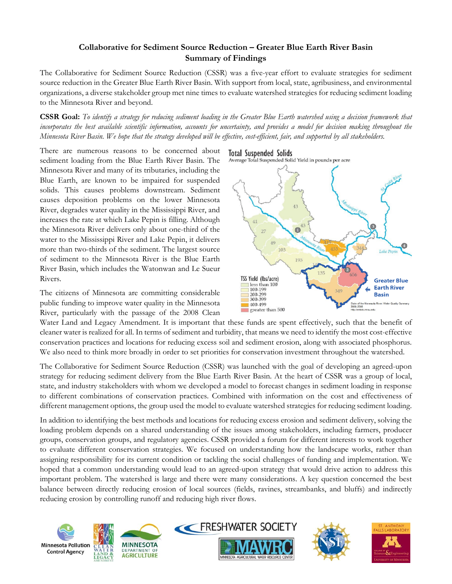### **Collaborative for Sediment Source Reduction – Greater Blue Earth River Basin Summary of Findings**

The Collaborative for Sediment Source Reduction (CSSR) was a five-year effort to evaluate strategies for sediment source reduction in the Greater Blue Earth River Basin. With support from local, state, agribusiness, and environmental organizations, a diverse stakeholder group met nine times to evaluate watershed strategies for reducing sediment loading to the Minnesota River and beyond.

**CSSR Goal:** *To identify a strategy for reducing sediment loading in the Greater Blue Earth watershed using a decision framework that*  incorporates the best available scientific information, accounts for uncertainty, and provides a model for decision making throughout the *Minnesota River Basin. We hope that the strategy developed will be effective, cost-efficient, fair, and supported by all stakeholders.*

There are numerous reasons to be concerned about sediment loading from the Blue Earth River Basin. The Minnesota River and many of its tributaries, including the Blue Earth, are known to be impaired for suspended solids. This causes problems downstream. Sediment causes deposition problems on the lower Minnesota River, degrades water quality in the Mississippi River, and increases the rate at which Lake Pepin is filling. Although the Minnesota River delivers only about one-third of the water to the Mississippi River and Lake Pepin, it delivers more than two-thirds of the sediment. The largest source of sediment to the Minnesota River is the Blue Earth River Basin, which includes the Watonwan and Le Sueur Rivers.

The citizens of Minnesota are committing considerable public funding to improve water quality in the Minnesota River, particularly with the passage of the 2008 Clean



Average Total Suspended Solid Yield in pounds per acre



Water Land and Legacy Amendment. It is important that these funds are spent effectively, such that the benefit of cleaner water is realized for all. In terms of sediment and turbidity, that means we need to identify the most cost-effective conservation practices and locations for reducing excess soil and sediment erosion, along with associated phosphorus. We also need to think more broadly in order to set priorities for conservation investment throughout the watershed.

The Collaborative for Sediment Source Reduction (CSSR) was launched with the goal of developing an agreed-upon strategy for reducing sediment delivery from the Blue Earth River Basin. At the heart of CSSR was a group of local, state, and industry stakeholders with whom we developed a model to forecast changes in sediment loading in response to different combinations of conservation practices. Combined with information on the cost and effectiveness of different management options, the group used the model to evaluate watershed strategies for reducing sediment loading.

In addition to identifying the best methods and locations for reducing excess erosion and sediment delivery, solving the loading problem depends on a shared understanding of the issues among stakeholders, including farmers, producer groups, conservation groups, and regulatory agencies. CSSR provided a forum for different interests to work together to evaluate different conservation strategies. We focused on understanding how the landscape works, rather than assigning responsibility for its current condition or tackling the social challenges of funding and implementation. We hoped that a common understanding would lead to an agreed-upon strategy that would drive action to address this important problem. The watershed is large and there were many considerations. A key question concerned the best balance between directly reducing erosion of local sources (fields, ravines, streambanks, and bluffs) and indirectly reducing erosion by controlling runoff and reducing high river flows.

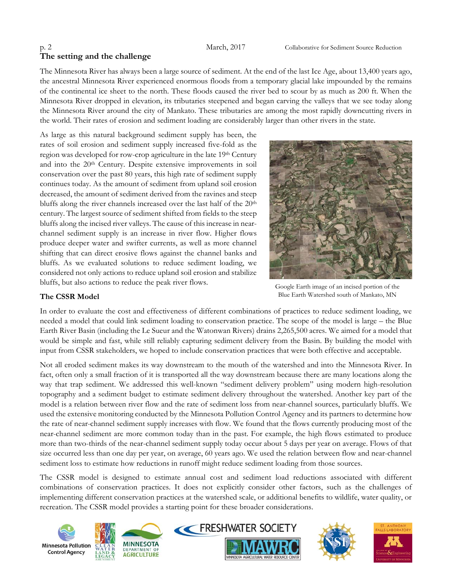# **The setting and the challenge**

The Minnesota River has always been a large source of sediment. At the end of the last Ice Age, about 13,400 years ago, the ancestral Minnesota River experienced enormous floods from a temporary glacial lake impounded by the remains of the continental ice sheet to the north. These floods caused the river bed to scour by as much as 200 ft. When the Minnesota River dropped in elevation, its tributaries steepened and began carving the valleys that we see today along the Minnesota River around the city of Mankato. These tributaries are among the most rapidly downcutting rivers in the world. Their rates of erosion and sediment loading are considerably larger than other rivers in the state.

As large as this natural background sediment supply has been, the rates of soil erosion and sediment supply increased five-fold as the region was developed for row-crop agriculture in the late 19th Century and into the 20th Century. Despite extensive improvements in soil conservation over the past 80 years, this high rate of sediment supply continues today. As the amount of sediment from upland soil erosion decreased, the amount of sediment derived from the ravines and steep bluffs along the river channels increased over the last half of the 20<sup>th</sup> century. The largest source of sediment shifted from fields to the steep bluffs along the incised river valleys. The cause of this increase in nearchannel sediment supply is an increase in river flow. Higher flows produce deeper water and swifter currents, as well as more channel shifting that can direct erosive flows against the channel banks and bluffs. As we evaluated solutions to reduce sediment loading, we considered not only actions to reduce upland soil erosion and stabilize bluffs, but also actions to reduce the peak river flows.



Google Earth image of an incised portion of the Blue Earth Watershed south of Mankato, MN

#### **The CSSR Model**

In order to evaluate the cost and effectiveness of different combinations of practices to reduce sediment loading, we needed a model that could link sediment loading to conservation practice. The scope of the model is large – the Blue Earth River Basin (including the Le Sueur and the Watonwan Rivers) drains 2,265,500 acres. We aimed for a model that would be simple and fast, while still reliably capturing sediment delivery from the Basin. By building the model with input from CSSR stakeholders, we hoped to include conservation practices that were both effective and acceptable.

Not all eroded sediment makes its way downstream to the mouth of the watershed and into the Minnesota River. In fact, often only a small fraction of it is transported all the way downstream because there are many locations along the way that trap sediment. We addressed this well-known "sediment delivery problem" using modern high-resolution topography and a sediment budget to estimate sediment delivery throughout the watershed. Another key part of the model is a relation between river flow and the rate of sediment loss from near-channel sources, particularly bluffs. We used the extensive monitoring conducted by the Minnesota Pollution Control Agency and its partners to determine how the rate of near-channel sediment supply increases with flow. We found that the flows currently producing most of the near-channel sediment are more common today than in the past. For example, the high flows estimated to produce more than two-thirds of the near-channel sediment supply today occur about 5 days per year on average. Flows of that size occurred less than one day per year, on average, 60 years ago. We used the relation between flow and near-channel sediment loss to estimate how reductions in runoff might reduce sediment loading from those sources.

The CSSR model is designed to estimate annual cost and sediment load reductions associated with different combinations of conservation practices. It does not explicitly consider other factors, such as the challenges of implementing different conservation practices at the watershed scale, or additional benefits to wildlife, water quality, or recreation. The CSSR model provides a starting point for these broader considerations.









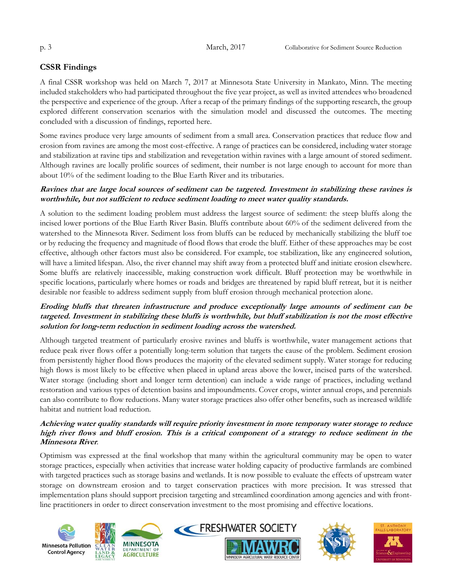### **CSSR Findings**

A final CSSR workshop was held on March 7, 2017 at Minnesota State University in Mankato, Minn. The meeting included stakeholders who had participated throughout the five year project, as well as invited attendees who broadened the perspective and experience of the group. After a recap of the primary findings of the supporting research, the group explored different conservation scenarios with the simulation model and discussed the outcomes. The meeting concluded with a discussion of findings, reported here.

Some ravines produce very large amounts of sediment from a small area. Conservation practices that reduce flow and erosion from ravines are among the most cost-effective. A range of practices can be considered, including water storage and stabilization at ravine tips and stabilization and revegetation within ravines with a large amount of stored sediment. Although ravines are locally prolific sources of sediment, their number is not large enough to account for more than about 10% of the sediment loading to the Blue Earth River and its tributaries.

#### **Ravines that are large local sources of sediment can be targeted. Investment in stabilizing these ravines is worthwhile, but not sufficient to reduce sediment loading to meet water quality standards.**

A solution to the sediment loading problem must address the largest source of sediment: the steep bluffs along the incised lower portions of the Blue Earth River Basin. Bluffs contribute about 60% of the sediment delivered from the watershed to the Minnesota River. Sediment loss from bluffs can be reduced by mechanically stabilizing the bluff toe or by reducing the frequency and magnitude of flood flows that erode the bluff. Either of these approaches may be cost effective, although other factors must also be considered. For example, toe stabilization, like any engineered solution, will have a limited lifespan. Also, the river channel may shift away from a protected bluff and initiate erosion elsewhere. Some bluffs are relatively inaccessible, making construction work difficult. Bluff protection may be worthwhile in specific locations, particularly where homes or roads and bridges are threatened by rapid bluff retreat, but it is neither desirable nor feasible to address sediment supply from bluff erosion through mechanical protection alone.

#### **Eroding bluffs that threaten infrastructure and produce exceptionally large amounts of sediment can be targeted. Investment in stabilizing these bluffs is worthwhile, but bluff stabilization is not the most effective solution for long-term reduction in sediment loading across the watershed.**

Although targeted treatment of particularly erosive ravines and bluffs is worthwhile, water management actions that reduce peak river flows offer a potentially long-term solution that targets the cause of the problem. Sediment erosion from persistently higher flood flows produces the majority of the elevated sediment supply. Water storage for reducing high flows is most likely to be effective when placed in upland areas above the lower, incised parts of the watershed. Water storage (including short and longer term detention) can include a wide range of practices, including wetland restoration and various types of detention basins and impoundments. Cover crops, winter annual crops, and perennials can also contribute to flow reductions. Many water storage practices also offer other benefits, such as increased wildlife habitat and nutrient load reduction.

#### **Achieving water quality standards will require priority investment in more temporary water storage to reduce high river flows and bluff erosion. This is a critical component of a strategy to reduce sediment in the Minnesota River**.

Optimism was expressed at the final workshop that many within the agricultural community may be open to water storage practices, especially when activities that increase water holding capacity of productive farmlands are combined with targeted practices such as storage basins and wetlands. It is now possible to evaluate the effects of upstream water storage on downstream erosion and to target conservation practices with more precision. It was stressed that implementation plans should support precision targeting and streamlined coordination among agencies and with frontline practitioners in order to direct conservation investment to the most promising and effective locations.